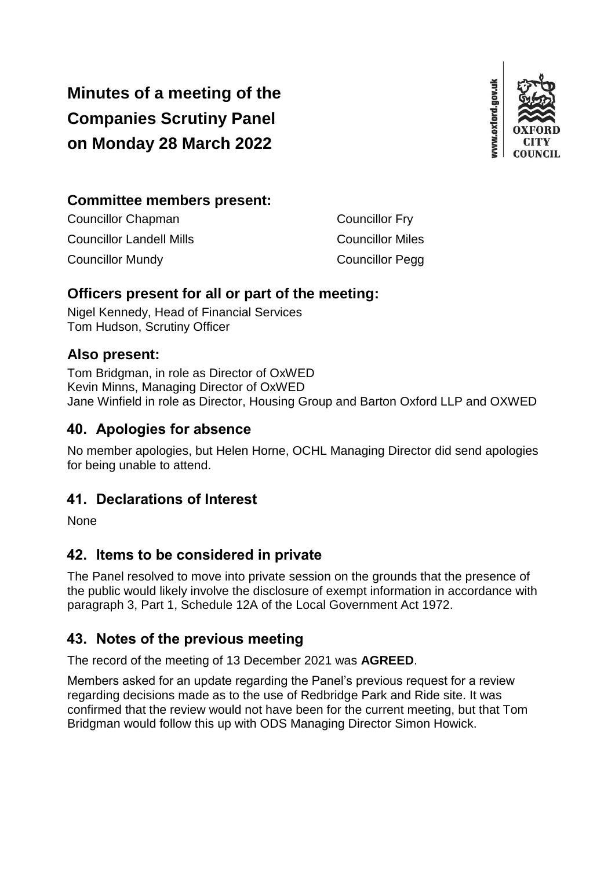# **Minutes of a meeting of the Companies Scrutiny Panel on Monday 28 March 2022**



#### **Committee members present:**

| <b>Councillor Chapman</b>       | <b>Councillor Fry</b>   |
|---------------------------------|-------------------------|
| <b>Councillor Landell Mills</b> | <b>Councillor Miles</b> |
| <b>Councillor Mundy</b>         | <b>Councillor Pegg</b>  |

#### **Officers present for all or part of the meeting:**

Nigel Kennedy, Head of Financial Services Tom Hudson, Scrutiny Officer

#### **Also present:**

Tom Bridgman, in role as Director of OxWED Kevin Minns, Managing Director of OxWED Jane Winfield in role as Director, Housing Group and Barton Oxford LLP and OXWED

### **40. Apologies for absence**

No member apologies, but Helen Horne, OCHL Managing Director did send apologies for being unable to attend.

### **41. Declarations of Interest**

None

### **42. Items to be considered in private**

The Panel resolved to move into private session on the grounds that the presence of the public would likely involve the disclosure of exempt information in accordance with paragraph 3, Part 1, Schedule 12A of the Local Government Act 1972.

### **43. Notes of the previous meeting**

The record of the meeting of 13 December 2021 was **AGREED**.

Members asked for an update regarding the Panel's previous request for a review regarding decisions made as to the use of Redbridge Park and Ride site. It was confirmed that the review would not have been for the current meeting, but that Tom Bridgman would follow this up with ODS Managing Director Simon Howick.